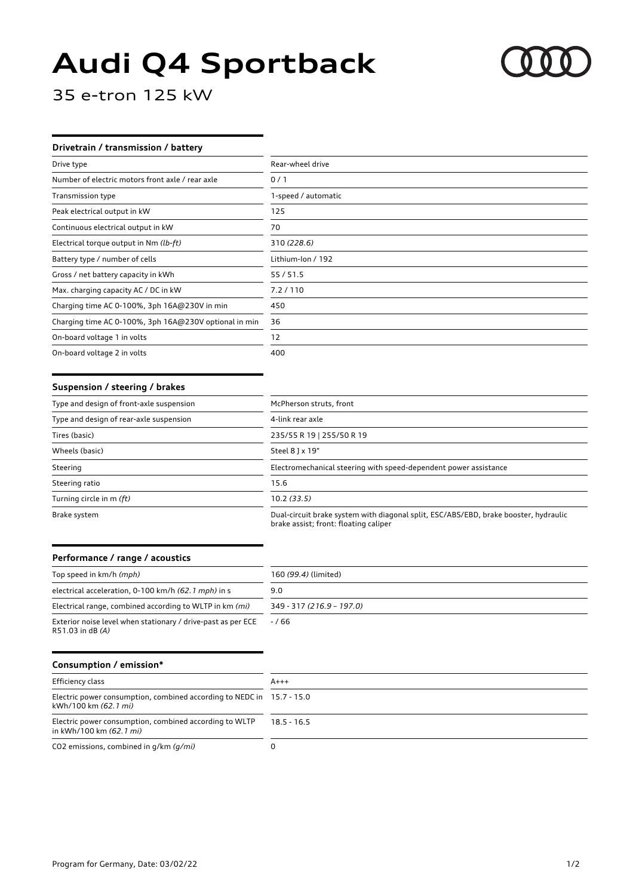# **Audi Q4 Sportback**



35 e-tron 125 kW

## **Drivetrain / transmission / battery**

| Drive type                                            | Rear-wheel drive    |
|-------------------------------------------------------|---------------------|
| Number of electric motors front axle / rear axle      | 0/1                 |
| Transmission type                                     | 1-speed / automatic |
| Peak electrical output in kW                          | 125                 |
| Continuous electrical output in kW                    | 70                  |
| Electrical torque output in Nm (lb-ft)                | 310 (228.6)         |
| Battery type / number of cells                        | Lithium-Ion / 192   |
| Gross / net battery capacity in kWh                   | 55/51.5             |
| Max. charging capacity AC / DC in kW                  | 7.2 / 110           |
| Charging time AC 0-100%, 3ph 16A@230V in min          | 450                 |
| Charging time AC 0-100%, 3ph 16A@230V optional in min | 36                  |
| On-board voltage 1 in volts                           | 12                  |
| On-board voltage 2 in volts                           | 400                 |

#### **Suspension / steering / brakes**

| Type and design of front-axle suspension | McPherson struts, front                                                                                                       |
|------------------------------------------|-------------------------------------------------------------------------------------------------------------------------------|
| Type and design of rear-axle suspension  | 4-link rear axle                                                                                                              |
| Tires (basic)                            | 235/55 R 19   255/50 R 19                                                                                                     |
| Wheels (basic)                           | Steel 8 ] x 19"                                                                                                               |
| Steering                                 | Electromechanical steering with speed-dependent power assistance                                                              |
| Steering ratio                           | 15.6                                                                                                                          |
| Turning circle in m (ft)                 | 10.2(33.5)                                                                                                                    |
| Brake system                             | Dual-circuit brake system with diagonal split, ESC/ABS/EBD, brake booster, hydraulic<br>brake assist; front: floating caliper |

### **Performance / range / acoustics**

| Top speed in km/h (mph)                                                          | 160 (99.4) (limited)      |
|----------------------------------------------------------------------------------|---------------------------|
| electrical acceleration, 0-100 km/h (62.1 mph) in s                              | 9.0                       |
| Electrical range, combined according to WLTP in km (mi)                          | 349 - 317 (216.9 - 197.0) |
| Exterior noise level when stationary / drive-past as per ECE<br>R51.03 in dB (A) | -766                      |

## **Consumption / emission\***

| Efficiency class                                                                                | $A+++$        |
|-------------------------------------------------------------------------------------------------|---------------|
| Electric power consumption, combined according to NEDC in $15.7 - 15.0$<br>kWh/100 km (62.1 mi) |               |
| Electric power consumption, combined according to WLTP<br>in kWh/100 km (62.1 mi)               | $18.5 - 16.5$ |
| CO2 emissions, combined in q/km (q/mi)                                                          |               |